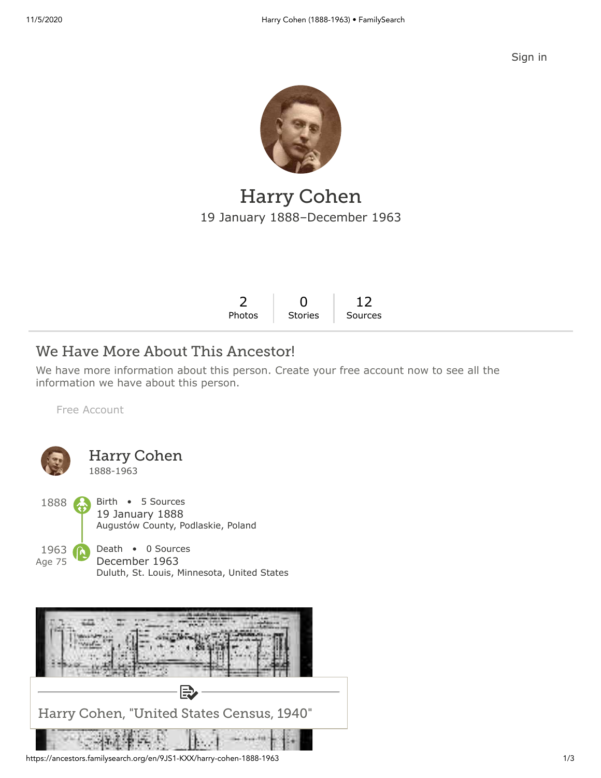[Sign in](https://www.familysearch.org/tree/person/details/9JS1-KXX?icid=amp_hdr_signin)



## Harry Cohen 19 January 1888–December 1963

| 2 0 12                 |  |
|------------------------|--|
| Photos Stories Sources |  |

### We Have More About This Ancestor!

We have more information about this person. Create your free account now to see all the information we have about this person.

[Free Account](https://www.familysearch.org/register/?state=https://ancestors.familysearch.org/en/9JS1-KXX/harry-cohen-1888-1963&icid=amp_bdy_account1)





https://ancestors.familysearch.org/en/9JS1-KXX/harry-cohen-1888-1963 1/3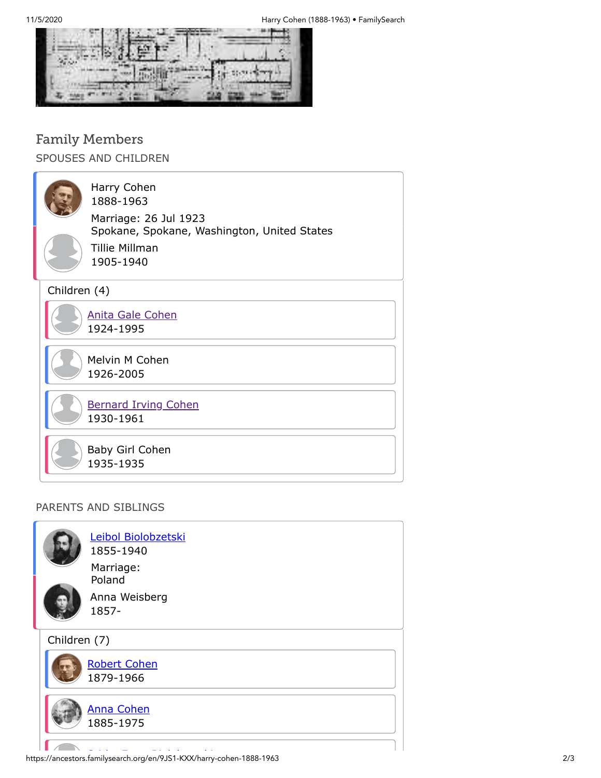

# Family Members

SPOUSES AND CHILDREN

| Harry Cohen<br>1888-1963<br>Marriage: 26 Jul 1923<br>Spokane, Spokane, Washington, United States<br>Tillie Millman<br>1905-1940 |
|---------------------------------------------------------------------------------------------------------------------------------|
| Children (4)                                                                                                                    |
| <b>Anita Gale Cohen</b><br>1924-1995                                                                                            |
| Melvin M Cohen<br>1926-2005                                                                                                     |
| <b>Bernard Irving Cohen</b><br>1930-1961                                                                                        |
| Baby Girl Cohen<br>1935-1935                                                                                                    |

#### PARENTS AND SIBLINGS